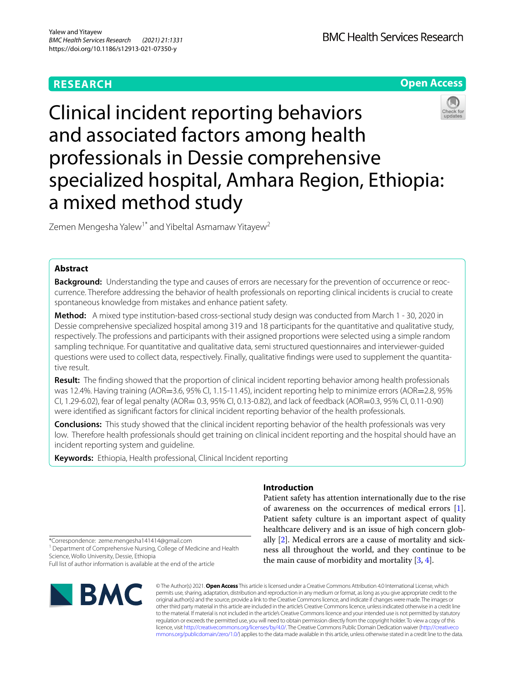## **RESEARCH**

**BMC Health Services Research** 

**Open Access**

# Clinical incident reporting behaviors and associated factors among health professionals in Dessie comprehensive specialized hospital, Amhara Region, Ethiopia: a mixed method study

Zemen Mengesha Yalew<sup>1\*</sup> and Yibeltal Asmamaw Yitayew<sup>2</sup>

## **Abstract**

**Background:** Understanding the type and causes of errors are necessary for the prevention of occurrence or reoccurrence. Therefore addressing the behavior of health professionals on reporting clinical incidents is crucial to create spontaneous knowledge from mistakes and enhance patient safety.

**Method:** A mixed type institution-based cross-sectional study design was conducted from March 1 - 30, 2020 in Dessie comprehensive specialized hospital among 319 and 18 participants for the quantitative and qualitative study, respectively. The professions and participants with their assigned proportions were selected using a simple random sampling technique. For quantitative and qualitative data, semi structured questionnaires and interviewer-guided questions were used to collect data, respectively. Finally, qualitative fndings were used to supplement the quantitative result.

**Result:** The fnding showed that the proportion of clinical incident reporting behavior among health professionals was 12.4%. Having training (AOR=3.6, 95% CI, 1.15-11.45), incident reporting help to minimize errors (AOR=2.8, 95% CI, 1.29-6.02), fear of legal penalty (AOR= 0.3, 95% CI, 0.13-0.82), and lack of feedback (AOR=0.3, 95% CI, 0.11-0.90) were identifed as signifcant factors for clinical incident reporting behavior of the health professionals.

**Conclusions:** This study showed that the clinical incident reporting behavior of the health professionals was very low. Therefore health professionals should get training on clinical incident reporting and the hospital should have an incident reporting system and guideline.

**Keywords:** Ethiopia, Health professional, Clinical Incident reporting

## **Introduction**

Patient safety has attention internationally due to the rise of awareness on the occurrences of medical errors [\[1](#page-6-0)]. Patient safety culture is an important aspect of quality healthcare delivery and is an issue of high concern globally [[2\]](#page-6-1). Medical errors are a cause of mortality and sickness all throughout the world, and they continue to be the main cause of morbidity and mortality [\[3](#page-6-2), [4\]](#page-6-3).

\*Correspondence: zeme.mengesha141414@gmail.com

<sup>1</sup> Department of Comprehensive Nursing, College of Medicine and Health Science, Wollo University, Dessie, Ethiopia

Full list of author information is available at the end of the article



© The Author(s) 2021. **Open Access** This article is licensed under a Creative Commons Attribution 4.0 International License, which permits use, sharing, adaptation, distribution and reproduction in any medium or format, as long as you give appropriate credit to the original author(s) and the source, provide a link to the Creative Commons licence, and indicate if changes were made. The images or other third party material in this article are included in the article's Creative Commons licence, unless indicated otherwise in a credit line to the material. If material is not included in the article's Creative Commons licence and your intended use is not permitted by statutory regulation or exceeds the permitted use, you will need to obtain permission directly from the copyright holder. To view a copy of this licence, visit [http://creativecommons.org/licenses/by/4.0/.](http://creativecommons.org/licenses/by/4.0/) The Creative Commons Public Domain Dedication waiver ([http://creativeco](http://creativecommons.org/publicdomain/zero/1.0/) [mmons.org/publicdomain/zero/1.0/](http://creativecommons.org/publicdomain/zero/1.0/)) applies to the data made available in this article, unless otherwise stated in a credit line to the data.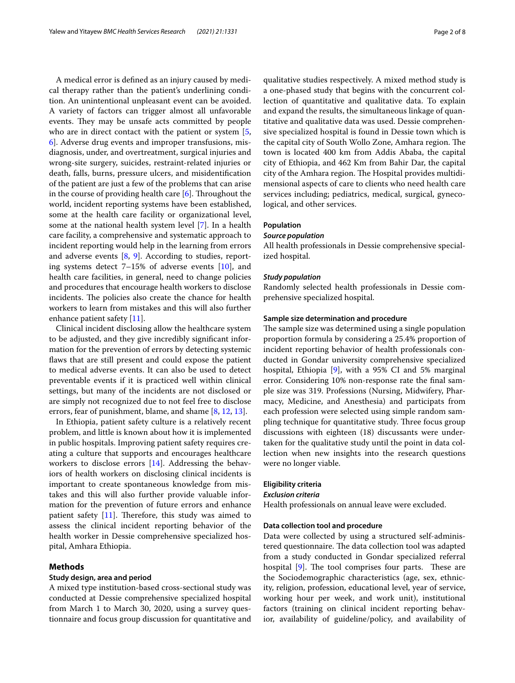A medical error is defned as an injury caused by medical therapy rather than the patient's underlining condition. An unintentional unpleasant event can be avoided. A variety of factors can trigger almost all unfavorable events. They may be unsafe acts committed by people who are in direct contact with the patient or system [\[5](#page-6-4), [6\]](#page-6-5). Adverse drug events and improper transfusions, misdiagnosis, under, and overtreatment, surgical injuries and wrong-site surgery, suicides, restraint-related injuries or death, falls, burns, pressure ulcers, and misidentifcation of the patient are just a few of the problems that can arise in the course of providing health care  $[6]$  $[6]$ . Throughout the world, incident reporting systems have been established, some at the health care facility or organizational level, some at the national health system level [\[7](#page-6-6)]. In a health care facility, a comprehensive and systematic approach to incident reporting would help in the learning from errors and adverse events  $[8, 9]$  $[8, 9]$  $[8, 9]$  $[8, 9]$ . According to studies, reporting systems detect 7–15% of adverse events [\[10](#page-6-9)], and health care facilities, in general, need to change policies and procedures that encourage health workers to disclose incidents. The policies also create the chance for health workers to learn from mistakes and this will also further enhance patient safety [[11\]](#page-6-10).

Clinical incident disclosing allow the healthcare system to be adjusted, and they give incredibly signifcant information for the prevention of errors by detecting systemic faws that are still present and could expose the patient to medical adverse events. It can also be used to detect preventable events if it is practiced well within clinical settings, but many of the incidents are not disclosed or are simply not recognized due to not feel free to disclose errors, fear of punishment, blame, and shame [\[8](#page-6-7), [12](#page-6-11), [13\]](#page-6-12).

In Ethiopia, patient safety culture is a relatively recent problem, and little is known about how it is implemented in public hospitals. Improving patient safety requires creating a culture that supports and encourages healthcare workers to disclose errors [\[14](#page-6-13)]. Addressing the behaviors of health workers on disclosing clinical incidents is important to create spontaneous knowledge from mistakes and this will also further provide valuable information for the prevention of future errors and enhance patient safety  $[11]$  $[11]$ . Therefore, this study was aimed to assess the clinical incident reporting behavior of the health worker in Dessie comprehensive specialized hospital, Amhara Ethiopia.

## **Methods**

#### **Study design, area and period**

A mixed type institution-based cross-sectional study was conducted at Dessie comprehensive specialized hospital from March 1 to March 30, 2020, using a survey questionnaire and focus group discussion for quantitative and qualitative studies respectively. A mixed method study is a one-phased study that begins with the concurrent collection of quantitative and qualitative data. To explain and expand the results, the simultaneous linkage of quantitative and qualitative data was used. Dessie comprehensive specialized hospital is found in Dessie town which is the capital city of South Wollo Zone, Amhara region. The town is located 400 km from Addis Ababa, the capital city of Ethiopia, and 462 Km from Bahir Dar, the capital city of the Amhara region. The Hospital provides multidimensional aspects of care to clients who need health care services including; pediatrics, medical, surgical, gynecological, and other services.

## **Population**

## *Source population*

All health professionals in Dessie comprehensive specialized hospital.

#### *Study population*

Randomly selected health professionals in Dessie comprehensive specialized hospital.

#### **Sample size determination and procedure**

The sample size was determined using a single population proportion formula by considering a 25.4% proportion of incident reporting behavior of health professionals conducted in Gondar university comprehensive specialized hospital, Ethiopia [\[9](#page-6-8)], with a 95% CI and 5% marginal error. Considering 10% non-response rate the fnal sample size was 319. Professions (Nursing, Midwifery, Pharmacy, Medicine, and Anesthesia) and participats from each profession were selected using simple random sampling technique for quantitative study. Three focus group discussions with eighteen (18) discussants were undertaken for the qualitative study until the point in data collection when new insights into the research questions were no longer viable.

## **Eligibility criteria**

## *Exclusion criteria*

Health professionals on annual leave were excluded.

#### **Data collection tool and procedure**

Data were collected by using a structured self-administered questionnaire. The data collection tool was adapted from a study conducted in Gondar specialized referral hospital  $[9]$  $[9]$ . The tool comprises four parts. These are the Sociodemographic characteristics (age, sex, ethnicity, religion, profession, educational level, year of service, working hour per week, and work unit), institutional factors (training on clinical incident reporting behavior, availability of guideline/policy, and availability of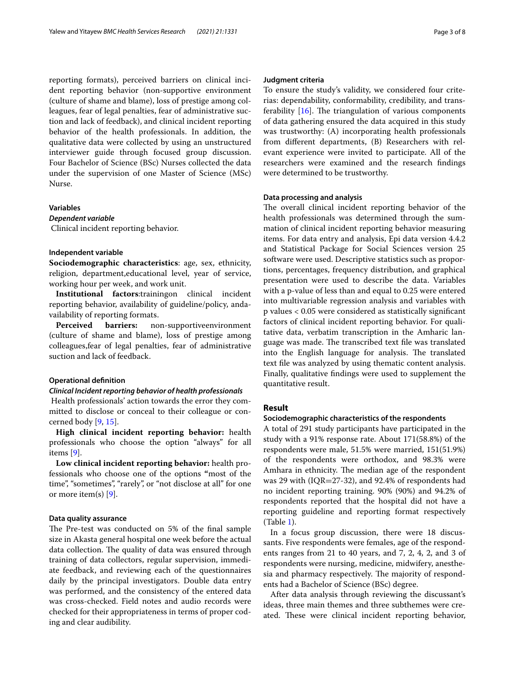reporting formats), perceived barriers on clinical incident reporting behavior (non-supportive environment (culture of shame and blame), loss of prestige among colleagues, fear of legal penalties, fear of administrative suction and lack of feedback), and clinical incident reporting behavior of the health professionals. In addition, the qualitative data were collected by using an unstructured interviewer guide through focused group discussion. Four Bachelor of Science (BSc) Nurses collected the data under the supervision of one Master of Science (MSc) Nurse.

## **Variables**

## *Dependent variable*

Clinical incident reporting behavior.

#### **Independent variable**

**Sociodemographic characteristics**: age, sex, ethnicity, religion, department,educational level, year of service, working hour per week, and work unit.

**Institutional factors**:trainingon clinical incident reporting behavior, availability of guideline/policy, andavailability of reporting formats.

**Perceived barriers:** non-supportiveenvironment (culture of shame and blame), loss of prestige among colleagues,fear of legal penalties, fear of administrative suction and lack of feedback.

## **Operational defnition**

#### *Clinical Incident reporting behavior of health professionals*

 Health professionals' action towards the error they committed to disclose or conceal to their colleague or concerned body [[9,](#page-6-8) [15](#page-6-14)].

**High clinical incident reporting behavior:** health professionals who choose the option "always" for all items [\[9](#page-6-8)].

**Low clinical incident reporting behavior:** health professionals who choose one of the options **"**most of the time", "sometimes", "rarely", or "not disclose at all" for one or more item(s) [[9\]](#page-6-8).

#### **Data quality assurance**

The Pre-test was conducted on 5% of the final sample size in Akasta general hospital one week before the actual data collection. The quality of data was ensured through training of data collectors, regular supervision, immediate feedback, and reviewing each of the questionnaires daily by the principal investigators. Double data entry was performed, and the consistency of the entered data was cross-checked. Field notes and audio records were checked for their appropriateness in terms of proper coding and clear audibility.

#### **Judgment criteria**

To ensure the study's validity, we considered four criterias: dependability, conformability, credibility, and transferability  $[16]$  $[16]$ . The triangulation of various components of data gathering ensured the data acquired in this study was trustworthy: (A) incorporating health professionals from diferent departments, (B) Researchers with relevant experience were invited to participate. All of the researchers were examined and the research fndings were determined to be trustworthy.

## **Data processing and analysis**

The overall clinical incident reporting behavior of the health professionals was determined through the summation of clinical incident reporting behavior measuring items. For data entry and analysis, Epi data version 4.4.2 and Statistical Package for Social Sciences version 25 software were used. Descriptive statistics such as proportions, percentages, frequency distribution, and graphical presentation were used to describe the data. Variables with a p-value of less than and equal to 0.25 were entered into multivariable regression analysis and variables with p values < 0.05 were considered as statistically signifcant factors of clinical incident reporting behavior. For qualitative data, verbatim transcription in the Amharic language was made. The transcribed text file was translated into the English language for analysis. The translated text fle was analyzed by using thematic content analysis. Finally, qualitative fndings were used to supplement the quantitative result.

## **Result**

#### **Sociodemographic characteristics of the respondents**

A total of 291 study participants have participated in the study with a 91% response rate. About 171(58.8%) of the respondents were male, 51.5% were married, 151(51.9%) of the respondents were orthodox, and 98.3% were Amhara in ethnicity. The median age of the respondent was 29 with (IQR=27-32), and 92.4% of respondents had no incident reporting training. 90% (90%) and 94.2% of respondents reported that the hospital did not have a reporting guideline and reporting format respectively (Table [1\)](#page-3-0).

In a focus group discussion, there were 18 discussants. Five respondents were females, age of the respondents ranges from 21 to 40 years, and 7, 2, 4, 2, and 3 of respondents were nursing, medicine, midwifery, anesthesia and pharmacy respectively. The majority of respondents had a Bachelor of Science (BSc) degree.

After data analysis through reviewing the discussant's ideas, three main themes and three subthemes were created. These were clinical incident reporting behavior,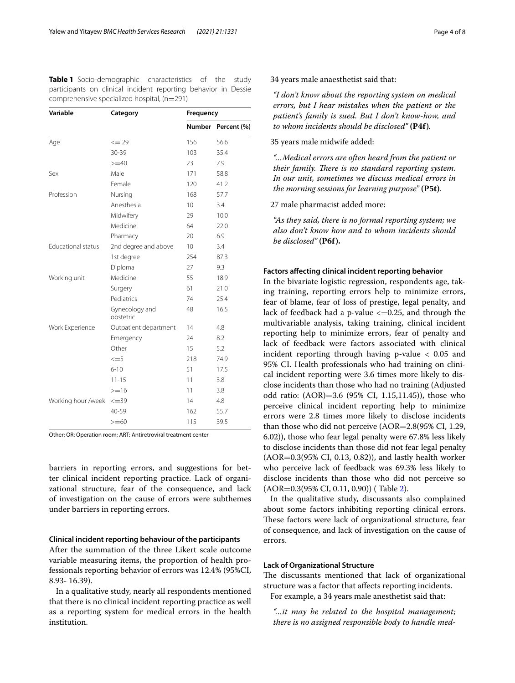<span id="page-3-0"></span>**Table 1** Socio-demographic characteristics of the study participants on clinical incident reporting behavior in Dessie comprehensive specialized hospital, (n=291)  $\mathbb{R}$ 

| Variable                  | Category                    | Frequency |             |  |
|---------------------------|-----------------------------|-----------|-------------|--|
|                           |                             | Number    | Percent (%) |  |
| Age                       | $\leq$ 29                   | 156       | 56.6        |  |
|                           | 30-39                       | 103       | 35.4        |  |
|                           | $>=10$                      | 23        | 7.9         |  |
| Sex                       | Male                        | 171       | 58.8        |  |
|                           | Female                      | 120       | 41.2        |  |
| Profession                | Nursing                     | 168       | 57.7        |  |
|                           | Anesthesia                  | 10        | 3.4         |  |
|                           | Midwifery                   | 29        | 10.0        |  |
|                           | Medicine                    | 64        | 22.0        |  |
|                           | Pharmacy                    | 20        | 6.9         |  |
| <b>Educational status</b> | 2nd degree and above        | 10        | 3.4         |  |
|                           | 1st degree                  | 254       | 87.3        |  |
|                           | Diploma                     | 27        | 9.3         |  |
| Working unit              | Medicine                    | 55        | 18.9        |  |
|                           | Surgery                     | 61        | 21.0        |  |
|                           | Pediatrics                  | 74        | 25.4        |  |
|                           | Gynecology and<br>obstetric | 48        | 16.5        |  |
| Work Experience           | Outpatient department       | 14        | 4.8         |  |
|                           | Emergency                   | 24        | 8.2         |  |
|                           | Other                       | 15        | 5.2         |  |
|                           | $\leq$ =5                   | 218       | 74.9        |  |
|                           | $6 - 10$                    | 51        | 17.5        |  |
|                           | $11 - 15$                   | 11        | 3.8         |  |
|                           | $>=16$                      | 11        | 3.8         |  |
| Working hour /week        | $\leq$ = 39                 | 14        | 4.8         |  |
|                           | 40-59                       | 162       | 55.7        |  |
|                           | $>= 60$                     | 115       | 39.5        |  |

Other; OR: Operation room; ART: Antiretroviral treatment center

barriers in reporting errors, and suggestions for better clinical incident reporting practice. Lack of organizational structure, fear of the consequence, and lack of investigation on the cause of errors were subthemes under barriers in reporting errors.

#### **Clinical incident reporting behaviour of the participants**

After the summation of the three Likert scale outcome variable measuring items, the proportion of health professionals reporting behavior of errors was 12.4% (95%CI, 8.93- 16.39).

In a qualitative study, nearly all respondents mentioned that there is no clinical incident reporting practice as well as a reporting system for medical errors in the health institution.

34 years male anaesthetist said that:

*"I don't know about the reporting system on medical errors, but I hear mistakes when the patient or the patient's family is sued. But I don't know-how, and to whom incidents should be disclosed"* **(P4f)***.*

35 years male midwife added:

*"…Medical errors are often heard from the patient or their family. There is no standard reporting system. In our unit, sometimes we discuss medical errors in the morning sessions for learning purpose"* **(P5t)***.*

27 male pharmacist added more:

*"As they said, there is no formal reporting system; we also don't know how and to whom incidents should be disclosed"* **(P6f).**

#### **Factors afecting clinical incident reporting behavior**

In the bivariate logistic regression, respondents age, taking training, reporting errors help to minimize errors, fear of blame, fear of loss of prestige, legal penalty, and lack of feedback had a p-value  $\epsilon$ =0.25, and through the multivariable analysis, taking training, clinical incident reporting help to minimize errors, fear of penalty and lack of feedback were factors associated with clinical incident reporting through having p-value < 0.05 and 95% CI. Health professionals who had training on clinical incident reporting were 3.6 times more likely to disclose incidents than those who had no training (Adjusted odd ratio: (AOR)=3.6 (95% CI, 1.15,11.45)), those who perceive clinical incident reporting help to minimize errors were 2.8 times more likely to disclose incidents than those who did not perceive (AOR=2.8(95% CI, 1.29, 6.02)), those who fear legal penalty were 67.8% less likely to disclose incidents than those did not fear legal penalty (AOR=0.3(95% CI, 0.13, 0.82)), and lastly health worker who perceive lack of feedback was 69.3% less likely to disclose incidents than those who did not perceive so (AOR=0.3(95% CI, 0.11, 0.90)) ( Table [2](#page-4-0)).

In the qualitative study, discussants also complained about some factors inhibiting reporting clinical errors. These factors were lack of organizational structure, fear of consequence, and lack of investigation on the cause of errors.

## **Lack of Organizational Structure**

The discussants mentioned that lack of organizational structure was a factor that afects reporting incidents.

For example, a 34 years male anesthetist said that:

*"…it may be related to the hospital management; there is no assigned responsible body to handle med-*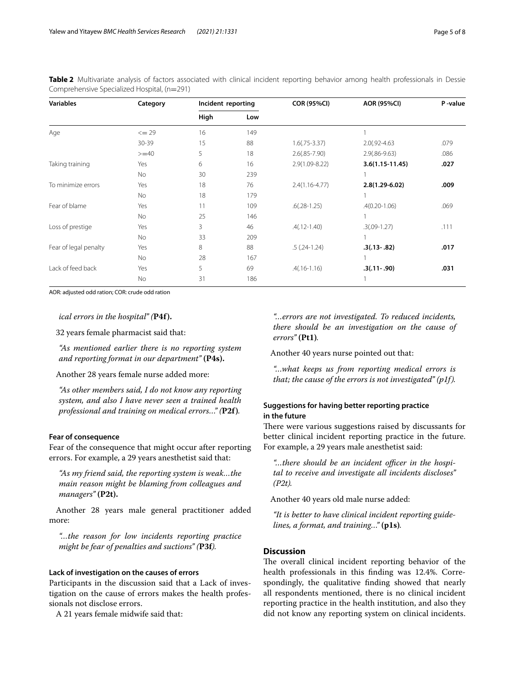<span id="page-4-0"></span>**Table 2** Multivariate analysis of factors associated with clinical incident reporting behavior among health professionals in Dessie Comprehensive Specialized Hospital, (n=291)

| <b>Variables</b>      | Category  | Incident reporting |     | <b>COR (95%CI)</b> | <b>AOR (95%CI)</b>  | P-value |
|-----------------------|-----------|--------------------|-----|--------------------|---------------------|---------|
|                       |           | High               | Low |                    |                     |         |
| Age                   | $\leq$ 29 | 16                 | 149 |                    |                     |         |
|                       | $30 - 39$ | 15                 | 88  | $1.6(.75-3.37)$    | $2.0(.92 - 4.63)$   | .079    |
|                       | $>=$ 40   | 5                  | 18  | $2.6(.85 - 7.90)$  | $2.9(.86 - 9.63)$   | .086    |
| Taking training       | Yes       | 6                  | 16  | $2.9(1.09 - 8.22)$ | $3.6(1.15 - 11.45)$ | .027    |
|                       | No        | 30                 | 239 |                    |                     |         |
| To minimize errors    | Yes       | 18                 | 76  | $2.4(1.16 - 4.77)$ | $2.8(1.29 - 6.02)$  | .009    |
|                       | No        | 18                 | 179 |                    |                     |         |
| Fear of blame         | Yes       | 11                 | 109 | $.6(.28-1.25)$     | $.4(0.20-1.06)$     | .069    |
|                       | No        | 25                 | 146 |                    |                     |         |
| Loss of prestige      | Yes       | 3                  | 46  | $.4(.12-1.40)$     | $.3(.09-1.27)$      | .111    |
|                       | No        | 33                 | 209 |                    |                     |         |
| Fear of legal penalty | Yes       | 8                  | 88  | $.5(.24-1.24)$     | $.3(.13-.82)$       | .017    |
|                       | No        | 28                 | 167 |                    |                     |         |
| Lack of feed back     | Yes       | 5                  | 69  | $.4(.16-1.16)$     | $.3(.11-.90)$       | .031    |
|                       | No        | 31                 | 186 |                    |                     |         |

AOR: adjusted odd ration; COR: crude odd ration

*ical errors in the hospital" (***P4f).**

32 years female pharmacist said that:

*"As mentioned earlier there is no reporting system and reporting format in our department"* **(P4s).**

Another 28 years female nurse added more:

*"As other members said, I do not know any reporting system, and also I have never seen a trained health professional and training on medical errors…" (***P2f)***.*

## **Fear of consequence**

Fear of the consequence that might occur after reporting errors. For example, a 29 years anesthetist said that:

*"As my friend said, the reporting system is weak…the main reason might be blaming from colleagues and managers"* **(P2t).**

Another 28 years male general practitioner added more:

*"…the reason for low incidents reporting practice might be fear of penalties and suctions" (***P3f***).*

#### **Lack of investigation on the causes of errors**

Participants in the discussion said that a Lack of investigation on the cause of errors makes the health professionals not disclose errors.

A 21 years female midwife said that:

*"…errors are not investigated. To reduced incidents, there should be an investigation on the cause of errors"* **(Pt1)***.*

Another 40 years nurse pointed out that:

*"…what keeps us from reporting medical errors is that; the cause of the errors is not investigated" (p1f).*

## **Suggestions for having better reporting practice in the future**

There were various suggestions raised by discussants for better clinical incident reporting practice in the future. For example, a 29 years male anesthetist said:

"...there should be an incident officer in the hospi*tal to receive and investigate all incidents discloses" (P2t).*

Another 40 years old male nurse added:

*"It is better to have clinical incident reporting guidelines, a format, and training…"* **(p1s)***.*

## **Discussion**

The overall clinical incident reporting behavior of the health professionals in this fnding was 12.4%. Correspondingly, the qualitative fnding showed that nearly all respondents mentioned, there is no clinical incident reporting practice in the health institution, and also they did not know any reporting system on clinical incidents.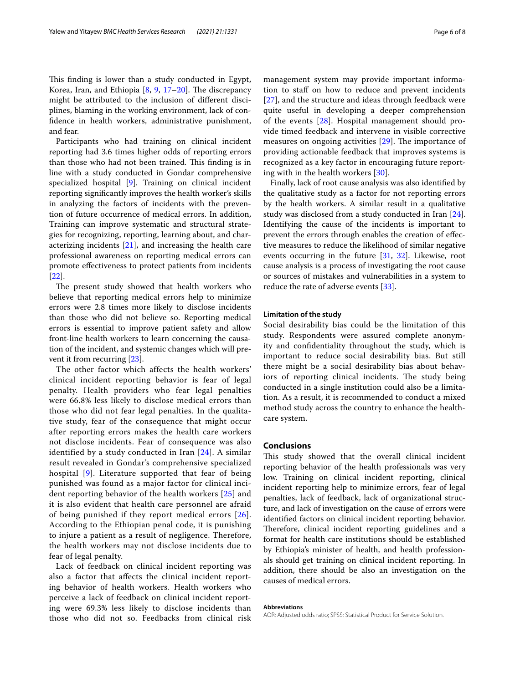This finding is lower than a study conducted in Egypt, Korea, Iran, and Ethiopia  $[8, 9, 17-20]$  $[8, 9, 17-20]$  $[8, 9, 17-20]$  $[8, 9, 17-20]$  $[8, 9, 17-20]$  $[8, 9, 17-20]$ . The discrepancy might be attributed to the inclusion of diferent disciplines, blaming in the working environment, lack of confdence in health workers, administrative punishment, and fear.

Participants who had training on clinical incident reporting had 3.6 times higher odds of reporting errors than those who had not been trained. This finding is in line with a study conducted in Gondar comprehensive specialized hospital [[9\]](#page-6-8). Training on clinical incident reporting signifcantly improves the health worker's skills in analyzing the factors of incidents with the prevention of future occurrence of medical errors. In addition, Training can improve systematic and structural strategies for recognizing, reporting, learning about, and characterizing incidents  $[21]$  $[21]$ , and increasing the health care professional awareness on reporting medical errors can promote efectiveness to protect patients from incidents [[22\]](#page-6-19).

The present study showed that health workers who believe that reporting medical errors help to minimize errors were 2.8 times more likely to disclose incidents than those who did not believe so. Reporting medical errors is essential to improve patient safety and allow front-line health workers to learn concerning the causation of the incident, and systemic changes which will prevent it from recurring [\[23](#page-6-20)].

The other factor which affects the health workers' clinical incident reporting behavior is fear of legal penalty. Health providers who fear legal penalties were 66.8% less likely to disclose medical errors than those who did not fear legal penalties. In the qualitative study, fear of the consequence that might occur after reporting errors makes the health care workers not disclose incidents. Fear of consequence was also identified by a study conducted in Iran [[24](#page-6-21)]. A similar result revealed in Gondar's comprehensive specialized hospital [[9](#page-6-8)]. Literature supported that fear of being punished was found as a major factor for clinical incident reporting behavior of the health workers [[25\]](#page-6-22) and it is also evident that health care personnel are afraid of being punished if they report medical errors [[26\]](#page-6-23). According to the Ethiopian penal code, it is punishing to injure a patient as a result of negligence. Therefore, the health workers may not disclose incidents due to fear of legal penalty.

Lack of feedback on clinical incident reporting was also a factor that afects the clinical incident reporting behavior of health workers. Health workers who perceive a lack of feedback on clinical incident reporting were 69.3% less likely to disclose incidents than those who did not so. Feedbacks from clinical risk management system may provide important information to staff on how to reduce and prevent incidents [[27](#page-6-24)], and the structure and ideas through feedback were quite useful in developing a deeper comprehension of the events [[28\]](#page-6-25). Hospital management should provide timed feedback and intervene in visible corrective measures on ongoing activities  $[29]$  $[29]$ . The importance of providing actionable feedback that improves systems is recognized as a key factor in encouraging future reporting with in the health workers [\[30](#page-7-1)].

Finally, lack of root cause analysis was also identifed by the qualitative study as a factor for not reporting errors by the health workers. A similar result in a qualitative study was disclosed from a study conducted in Iran [\[24](#page-6-21)]. Identifying the cause of the incidents is important to prevent the errors through enables the creation of efective measures to reduce the likelihood of similar negative events occurring in the future [[31](#page-7-2), [32\]](#page-7-3). Likewise, root cause analysis is a process of investigating the root cause or sources of mistakes and vulnerabilities in a system to reduce the rate of adverse events [\[33](#page-7-4)].

## **Limitation of the study**

Social desirability bias could be the limitation of this study. Respondents were assured complete anonymity and confdentiality throughout the study, which is important to reduce social desirability bias. But still there might be a social desirability bias about behaviors of reporting clinical incidents. The study being conducted in a single institution could also be a limitation. As a result, it is recommended to conduct a mixed method study across the country to enhance the healthcare system.

## **Conclusions**

This study showed that the overall clinical incident reporting behavior of the health professionals was very low. Training on clinical incident reporting, clinical incident reporting help to minimize errors, fear of legal penalties, lack of feedback, lack of organizational structure, and lack of investigation on the cause of errors were identifed factors on clinical incident reporting behavior. Therefore, clinical incident reporting guidelines and a format for health care institutions should be established by Ethiopia's minister of health, and health professionals should get training on clinical incident reporting. In addition, there should be also an investigation on the causes of medical errors.

#### **Abbreviations**

AOR: Adjusted odds ratio; SPSS: Statistical Product for Service Solution.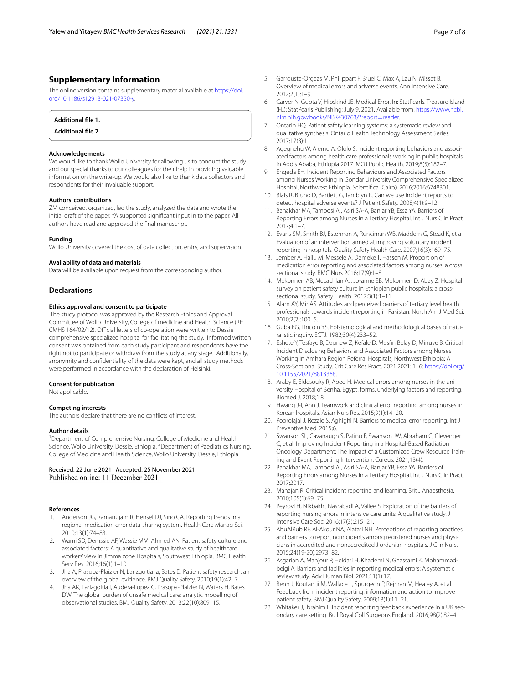## **Supplementary Information**

The online version contains supplementary material available at [https://doi.](https://doi.org/10.1186/s12913-021-07350-y) [org/10.1186/s12913-021-07350-y.](https://doi.org/10.1186/s12913-021-07350-y)

## **Additional fle 1.**

**Additional fle 2.**

#### **Acknowledgements**

We would like to thank Wollo University for allowing us to conduct the study and our special thanks to our colleagues for their help in providing valuable information on the write-up. We would also like to thank data collectors and respondents for their invaluable support.

#### **Authors' contributions**

ZM conceived, organized, led the study, analyzed the data and wrote the initial draft of the paper. YA supported signifcant input in to the paper. All authors have read and approved the fnal manuscript.

## **Funding**

Wollo University covered the cost of data collection, entry, and supervision.

#### **Availability of data and materials**

Data will be available upon request from the corresponding author.

## **Declarations**

#### **Ethics approval and consent to participate**

 The study protocol was approved by the Research Ethics and Approval Committee of Wollo University, College of medicine and Health Science (RF: CMHS 164/02/12). Official letters of co-operation were written to Dessie comprehensive specialized hospital for facilitating the study. Informed written consent was obtained from each study participant and respondents have the right not to participate or withdraw from the study at any stage. Additionally, anonymity and confdentiality of the data were kept, and all study methods were performed in accordance with the declaration of Helsinki.

#### **Consent for publication**

Not applicable.

#### **Competing interests**

The authors declare that there are no conficts of interest.

#### **Author details**

<sup>1</sup> Department of Comprehensive Nursing, College of Medicine and Health Science, Wollo University, Dessie, Ethiopia. <sup>2</sup> Department of Paediatrics Nursing, College of Medicine and Health Science, Wollo University, Dessie, Ethiopia.

## Received: 22 June 2021 Accepted: 25 November 2021 Published online: 11 December 2021

#### **References**

- <span id="page-6-0"></span>1. Anderson JG, Ramanujam R, Hensel DJ, Sirio CA. Reporting trends in a regional medication error data-sharing system. Health Care Manag Sci. 2010;13(1):74–83.
- <span id="page-6-1"></span>2. Wami SD, Demssie AF, Wassie MM, Ahmed AN. Patient safety culture and associated factors: A quantitative and qualitative study of healthcare workers' view in Jimma zone Hospitals, Southwest Ethiopia. BMC Health Serv Res. 2016;16(1):1–10.
- <span id="page-6-2"></span>3. Jha A, Prasopa-Plaizier N, Larizgoitia Ia, Bates D. Patient safety research: an overview of the global evidence. BMJ Quality Safety. 2010;19(1):42–7.
- <span id="page-6-3"></span>Jha AK, Larizgoitia I, Audera-Lopez C, Prasopa-Plaizier N, Waters H, Bates DW. The global burden of unsafe medical care: analytic modelling of observational studies. BMJ Quality Safety. 2013;22(10):809–15.
- <span id="page-6-4"></span>5. Garrouste-Orgeas M, Philippart F, Bruel C, Max A, Lau N, Misset B. Overview of medical errors and adverse events. Ann Intensive Care.  $2012:2(1):1-9$
- <span id="page-6-5"></span>6. Carver N, Gupta V, Hipskind JE. Medical Error. In: StatPearls. Treasure Island (FL): StatPearls Publishing; July 9, 2021. Available from: [https://www.ncbi.](https://www.ncbi.nlm.nih.gov/books/NBK430763/?report=reader) [nlm.nih.gov/books/NBK430763/?report](https://www.ncbi.nlm.nih.gov/books/NBK430763/?report=reader)=reader
- <span id="page-6-6"></span>7. Ontario HQ. Patient safety learning systems: a systematic review and qualitative synthesis. Ontario Health Technology Assessment Series. 2017;17(3):1.
- <span id="page-6-7"></span>8. Agegnehu W, Alemu A, Ololo S. Incident reporting behaviors and associated factors among health care professionals working in public hospitals in Addis Ababa, Ethiopia 2017. MOJ Public Health. 2019;8(5):182–7.
- <span id="page-6-8"></span>9. Engeda EH. Incident Reporting Behaviours and Associated Factors among Nurses Working in Gondar University Comprehensive Specialized Hospital, Northwest Ethiopia. Scientifca (Cairo). 2016;2016:6748301.
- <span id="page-6-9"></span>10. Blais R, Bruno D, Bartlett G, Tamblyn R. Can we use incident reports to detect hospital adverse events? J Patient Safety. 2008;4(1):9–12.
- <span id="page-6-10"></span>11. Banakhar MA, Tambosi AI, Asiri SA-A, Banjar YB, Essa YA. Barriers of Reporting Errors among Nurses in a Tertiary Hospital. Int J Nurs Clin Pract  $2017:4:1-7$
- <span id="page-6-11"></span>12. Evans SM, Smith BJ, Esterman A, Runciman WB, Maddern G, Stead K, et al. Evaluation of an intervention aimed at improving voluntary incident reporting in hospitals. Quality Safety Health Care. 2007;16(3):169–75.
- <span id="page-6-12"></span>13. Jember A, Hailu M, Messele A, Demeke T, Hassen M. Proportion of medication error reporting and associated factors among nurses: a cross sectional study. BMC Nurs 2016;17(9):1–8.
- <span id="page-6-13"></span>14. Mekonnen AB, McLachlan AJ, Jo-anne EB, Mekonnen D, Abay Z. Hospital survey on patient safety culture in Ethiopian public hospitals: a crosssectional study. Safety Health. 2017;3(1):1–11.
- <span id="page-6-14"></span>15. Alam AY, Mir AS. Attitudes and perceived barriers of tertiary level health professionals towards incident reporting in Pakistan. North Am J Med Sci. 2010;2(2):100–5.
- <span id="page-6-15"></span>16. Guba EG, Lincoln YS. Epistemological and methodological bases of naturalistic inquiry. ECTJ. 1982;30(4):233–52.
- <span id="page-6-16"></span>17. Eshete Y, Tesfaye B, Dagnew Z, Kefale D, Mesfn Belay D, Minuye B. Critical Incident Disclosing Behaviors and Associated Factors among Nurses Working in Amhara Region Referral Hospitals, Northwest Ethiopia: A Cross-Sectional Study. Crit Care Res Pract. 2021;2021: 1–6: [https://doi.org/](https://doi.org/10.1155/2021/8813368) [10.1155/2021/8813368.](https://doi.org/10.1155/2021/8813368)
- 18. Araby E, Eldesouky R, Abed H. Medical errors among nurses in the university Hospital of Benha, Egypt: forms, underlying factors and reporting. Biomed J. 2018;1:8.
- 19. Hwang J-I, Ahn J. Teamwork and clinical error reporting among nurses in Korean hospitals. Asian Nurs Res. 2015;9(1):14–20.
- <span id="page-6-17"></span>20. Poorolajal J, Rezaie S, Aghighi N. Barriers to medical error reporting. Int J Preventive Med. 2015;6.
- <span id="page-6-18"></span>21. Swanson SL, Cavanaugh S, Patino F, Swanson JW, Abraham C, Clevenger C, et al. Improving Incident Reporting in a Hospital-Based Radiation Oncology Department: The Impact of a Customized Crew Resource Training and Event Reporting Intervention. Cureus. 2021;13(4).
- <span id="page-6-19"></span>22. Banakhar MA, Tambosi AI, Asiri SA-A, Banjar YB, Essa YA. Barriers of Reporting Errors among Nurses in a Tertiary Hospital. Int J Nurs Clin Pract. 2017;2017.
- <span id="page-6-20"></span>23. Mahajan R. Critical incident reporting and learning. Brit J Anaesthesia. 2010;105(1):69–75.
- <span id="page-6-21"></span>24. Peyrovi H, Nikbakht Nasrabadi A, Valiee S. Exploration of the barriers of reporting nursing errors in intensive care units: A qualitative study. J Intensive Care Soc. 2016;17(3):215–21.
- <span id="page-6-22"></span>25. AbuAlRub RF, Al-Akour NA, Alatari NH. Perceptions of reporting practices and barriers to reporting incidents among registered nurses and physicians in accredited and nonaccredited J ordanian hospitals. J Clin Nurs. 2015;24(19-20):2973–82.
- <span id="page-6-23"></span>26. Asgarian A, Mahjour P, Heidari H, Khademi N, Ghassami K, Mohammadbeigi A. Barriers and facilities in reporting medical errors: A systematic review study. Adv Human Biol. 2021;11(1):17.
- <span id="page-6-24"></span>27. Benn J, Koutantji M, Wallace L, Spurgeon P, Rejman M, Healey A, et al. Feedback from incident reporting: information and action to improve patient safety. BMJ Quality Safety. 2009;18(1):11–21.
- <span id="page-6-25"></span>28. Whitaker J, Ibrahim F. Incident reporting feedback experience in a UK secondary care setting. Bull Royal Coll Surgeons England. 2016;98(2):82–4.